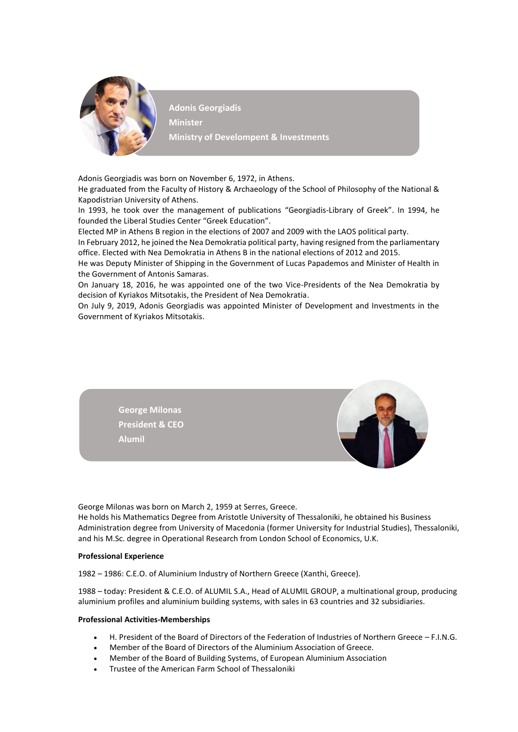

**Adonis Georgiadis Minister Ministry of Develompent & Investments**

Adonis Georgiadis was born on November 6, 1972, in Athens.

He graduated from the Faculty of History & Archaeology of the School of Philosophy of the National & Kapodistrian University of Athens.

In 1993, he took over the management of publications "Georgiadis-Library of Greek". In 1994, he founded the Liberal Studies Center "Greek Education".

Elected MP in Athens B region in the elections of 2007 and 2009 with the LAOS political party.

In February 2012, he joined the Nea Demokratia political party, having resigned from the parliamentary office. Elected with Nea Demokratia in Athens B in the national elections of 2012 and 2015.

He was Deputy Minister of Shipping in the Government of Lucas Papademos and Minister of Health in the Government of Antonis Samaras.

On January 18, 2016, he was appointed one of the two Vice-Presidents of the Nea Demokratia by decision of Kyriakos Mitsotakis, the President of Nea Demokratia.

On July 9, 2019, Adonis Georgiadis was appointed Minister of Development and Investments in the Government of Kyriakos Mitsotakis.



George Milonas was born on March 2, 1959 at Serres, Greece.

He holds his Mathematics Degree from Aristotle University of Thessaloniki, he obtained his Business Administration degree from University of Macedonia (former University for Industrial Studies), Thessaloniki, and his M.Sc. degree in Operational Research from London School of Economics, U.K.

## **Professional Experience**

1982 – 1986: C.E.O. of Aluminium Industry of Northern Greece (Xanthi, Greece).

1988 – today: President & C.E.O. of ALUMIL S.A., Head of ALUMIL GROUP, a multinational group, producing aluminium profiles and aluminium building systems, with sales in 63 countries and 32 subsidiaries.

## **Professional Activities-Memberships**

- H. President of the Board of Directors of the Federation of Industries of Northern Greece F.I.N.G.
- Member of the Board of Directors of the Aluminium Association of Greece.
- Member of the Board of Building Systems, of European Aluminium Association
- Trustee of the American Farm School of Thessaloniki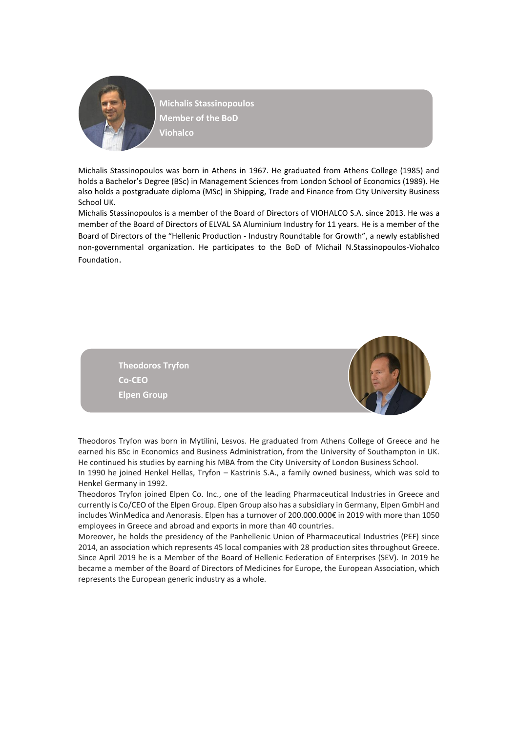

**Michalis Stassinopoulos Member of the BoD Viohalco**

Michalis Stassinopoulos was born in Athens in 1967. He graduated from Athens College (1985) and holds a Bachelor's Degree (BSc) in Management Sciences from London School of Economics (1989). He also holds a postgraduate diploma (MSc) in Shipping, Trade and Finance from City University Business School UK.

Michalis Stassinopoulos is a member of the Board of Directors of VIOHALCO S.A. since 2013. He was a member of the Board of Directors of ELVAL SA Aluminium Industry for 11 years. He is a member of the Board of Directors of the "Hellenic Production - Industry Roundtable for Growth", a newly established non-governmental organization. He participates to the BoD of Michail N.Stassinopoulos-Viohalco Foundation.



Theodoros Tryfon was born in Mytilini, Lesvos. He graduated from Athens College of Greece and he earned his BSc in Economics and Business Administration, from the University of Southampton in UK. He continued his studies by earning his MBA from the City University of London Business School.

In 1990 he joined Henkel Hellas, Tryfon – Kastrinis S.A., a family owned business, which was sold to Henkel Germany in 1992.

Theodoros Tryfon joined Elpen Co. Inc., one of the leading Pharmaceutical Industries in Greece and currently is Co/CEO of the Elpen Group. Elpen Group also has a subsidiary in Germany, Elpen GmbH and includes WinMedica and Aenorasis. Elpen has a turnover of 200.000.000€ in 2019 with more than 1050 employees in Greece and abroad and exports in more than 40 countries.

Moreover, he holds the presidency of the Panhellenic Union of Pharmaceutical Industries (PEF) since 2014, an association which represents 45 local companies with 28 production sites throughout Greece. Since April 2019 he is a Member of the Board of Hellenic Federation of Enterprises (SEV). In 2019 he became a member of the Board of Directors of Medicines for Europe, the European Association, which represents the European generic industry as a whole.